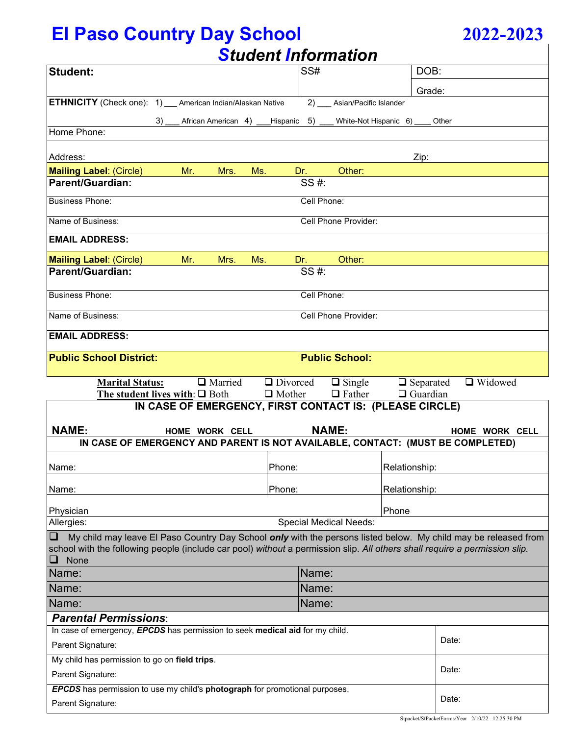# **El Paso Country Day School 2022-2023**

|  | 2022-2023 |
|--|-----------|
|  |           |

| <b>Student Information</b>                                                                                                      |                                                                             |               |              |                               |                  |                                                                                                                        |  |
|---------------------------------------------------------------------------------------------------------------------------------|-----------------------------------------------------------------------------|---------------|--------------|-------------------------------|------------------|------------------------------------------------------------------------------------------------------------------------|--|
| <b>Student:</b>                                                                                                                 |                                                                             |               | SS#          |                               |                  | DOB:                                                                                                                   |  |
|                                                                                                                                 |                                                                             |               |              |                               |                  | Grade:                                                                                                                 |  |
| <b>ETHNICITY</b> (Check one): 1) __ American Indian/Alaskan Native                                                              |                                                                             |               |              | 2) Asian/Pacific Islander     |                  |                                                                                                                        |  |
| 3)                                                                                                                              | African American 4) ____Hispanic 5) _____ White-Not Hispanic 6) _____ Other |               |              |                               |                  |                                                                                                                        |  |
| Home Phone:                                                                                                                     |                                                                             |               |              |                               |                  |                                                                                                                        |  |
|                                                                                                                                 |                                                                             |               |              |                               |                  |                                                                                                                        |  |
| Address:                                                                                                                        |                                                                             |               |              |                               | Zip:             |                                                                                                                        |  |
| <b>Mailing Label: (Circle)</b><br>Parent/Guardian:                                                                              | Mr.<br>Mrs.                                                                 | Ms.           | Dr.<br>SS #: | Other:                        |                  |                                                                                                                        |  |
|                                                                                                                                 |                                                                             |               |              |                               |                  |                                                                                                                        |  |
| <b>Business Phone:</b>                                                                                                          |                                                                             |               | Cell Phone:  |                               |                  |                                                                                                                        |  |
| Name of Business:                                                                                                               |                                                                             |               |              | Cell Phone Provider:          |                  |                                                                                                                        |  |
| <b>EMAIL ADDRESS:</b>                                                                                                           |                                                                             |               |              |                               |                  |                                                                                                                        |  |
| <b>Mailing Label: (Circle)</b>                                                                                                  | Mr.<br>Mrs.                                                                 | Ms.           | Dr.          | Other:                        |                  |                                                                                                                        |  |
| <b>Parent/Guardian:</b>                                                                                                         |                                                                             |               | SS #:        |                               |                  |                                                                                                                        |  |
|                                                                                                                                 |                                                                             |               |              |                               |                  |                                                                                                                        |  |
| <b>Business Phone:</b>                                                                                                          |                                                                             |               | Cell Phone:  |                               |                  |                                                                                                                        |  |
| Name of Business:                                                                                                               |                                                                             |               |              | Cell Phone Provider:          |                  |                                                                                                                        |  |
| <b>EMAIL ADDRESS:</b>                                                                                                           |                                                                             |               |              |                               |                  |                                                                                                                        |  |
|                                                                                                                                 |                                                                             |               |              |                               |                  |                                                                                                                        |  |
| <b>Public School District:</b>                                                                                                  |                                                                             |               |              | <b>Public School:</b>         |                  |                                                                                                                        |  |
| <b>Marital Status:</b>                                                                                                          | $\Box$ Married $\Box$ Divorced                                              |               |              | $\Box$ Single                 | $\Box$ Separated | □ Widowed                                                                                                              |  |
|                                                                                                                                 |                                                                             |               |              |                               |                  |                                                                                                                        |  |
|                                                                                                                                 | The student lives with: $\Box$ Both                                         | $\Box$ Mother |              | $\Box$ Father                 | $\Box$ Guardian  |                                                                                                                        |  |
|                                                                                                                                 | IN CASE OF EMERGENCY, FIRST CONTACT IS: (PLEASE CIRCLE)                     |               |              |                               |                  |                                                                                                                        |  |
|                                                                                                                                 |                                                                             |               |              |                               |                  |                                                                                                                        |  |
| <b>NAME:</b><br>IN CASE OF EMERGENCY AND PARENT IS NOT AVAILABLE, CONTACT: (MUST BE COMPLETED)                                  | HOME WORK CELL                                                              |               | <b>NAME:</b> |                               |                  | HOME WORK CELL                                                                                                         |  |
|                                                                                                                                 |                                                                             |               |              |                               |                  |                                                                                                                        |  |
| Name:                                                                                                                           |                                                                             | Phone:        |              |                               | Relationship:    |                                                                                                                        |  |
|                                                                                                                                 |                                                                             |               |              |                               |                  |                                                                                                                        |  |
| Name:                                                                                                                           |                                                                             | Phone:        |              |                               | Relationship:    |                                                                                                                        |  |
| Physician                                                                                                                       |                                                                             |               |              |                               | Phone            |                                                                                                                        |  |
| Allergies:                                                                                                                      |                                                                             |               |              | <b>Special Medical Needs:</b> |                  |                                                                                                                        |  |
| O<br>school with the following people (include car pool) without a permission slip. All others shall require a permission slip. |                                                                             |               |              |                               |                  | My child may leave El Paso Country Day School <i>only</i> with the persons listed below. My child may be released from |  |
| None<br>⊔                                                                                                                       |                                                                             |               |              |                               |                  |                                                                                                                        |  |
| Name:                                                                                                                           |                                                                             |               | Name:        |                               |                  |                                                                                                                        |  |
| Name:                                                                                                                           |                                                                             |               | Name:        |                               |                  |                                                                                                                        |  |
| Name:                                                                                                                           |                                                                             |               | Name:        |                               |                  |                                                                                                                        |  |
| <b>Parental Permissions:</b>                                                                                                    |                                                                             |               |              |                               |                  |                                                                                                                        |  |
| In case of emergency, EPCDS has permission to seek medical aid for my child.                                                    |                                                                             |               |              |                               |                  |                                                                                                                        |  |
| Parent Signature:                                                                                                               |                                                                             |               |              |                               |                  | Date:                                                                                                                  |  |
| My child has permission to go on field trips.                                                                                   |                                                                             |               |              |                               |                  |                                                                                                                        |  |
| Parent Signature:                                                                                                               |                                                                             |               |              |                               |                  | Date:                                                                                                                  |  |
| <b>EPCDS</b> has permission to use my child's photograph for promotional purposes.<br>Parent Signature:                         |                                                                             |               |              |                               |                  | Date:                                                                                                                  |  |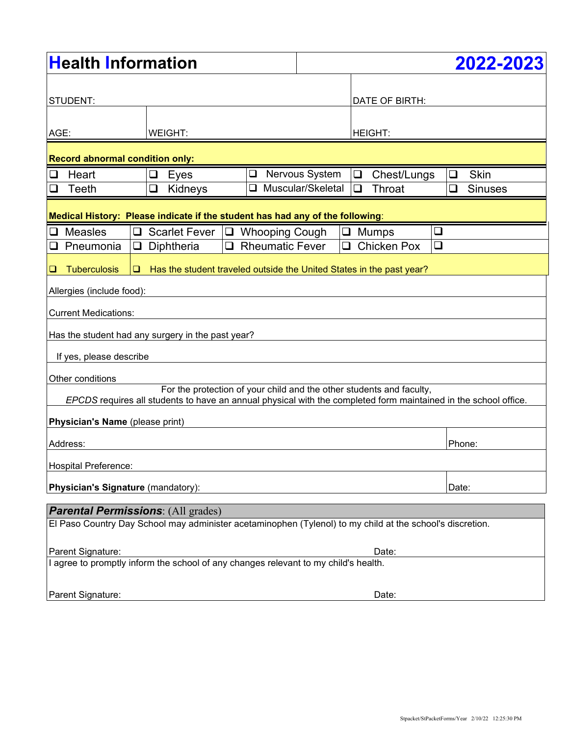| <b>Health Information</b>                                                                                       |                                  |                                                                      |                   |        | 2022-2023          |        |                          |  |
|-----------------------------------------------------------------------------------------------------------------|----------------------------------|----------------------------------------------------------------------|-------------------|--------|--------------------|--------|--------------------------|--|
|                                                                                                                 |                                  |                                                                      |                   |        |                    |        |                          |  |
| STUDENT:                                                                                                        |                                  |                                                                      |                   |        | DATE OF BIRTH:     |        |                          |  |
|                                                                                                                 |                                  |                                                                      |                   |        |                    |        |                          |  |
| AGE:<br>WEIGHT:                                                                                                 |                                  |                                                                      |                   |        | <b>HEIGHT:</b>     |        |                          |  |
| <b>Record abnormal condition only:</b>                                                                          |                                  |                                                                      |                   |        |                    |        |                          |  |
| Heart<br>$\Box$                                                                                                 | Eyes<br>⊔                        | Nervous System<br>❏                                                  |                   |        | Chest/Lungs        |        | <b>Skin</b><br>❏         |  |
| Teeth<br>$\mathcal{L}_{\mathcal{A}}$                                                                            | Kidneys<br>❏                     |                                                                      | Muscular/Skeletal | $\Box$ | Throat             |        | <b>Sinuses</b><br>$\Box$ |  |
| Medical History: Please indicate if the student has had any of the following:                                   |                                  |                                                                      |                   |        |                    |        |                          |  |
| <b>Measles</b><br>$\Box$<br>$\Box$                                                                              | Scarlet Fever   □ Whooping Cough |                                                                      |                   | $\Box$ | <b>Mumps</b>       | $\Box$ |                          |  |
| Pneumonia<br>❏<br>⊔                                                                                             | Diphtheria                       | <b>Rheumatic Fever</b><br>ப                                          |                   | ப      | <b>Chicken Pox</b> | $\Box$ |                          |  |
| <b>Tuberculosis</b><br>$\Box$<br>⊔                                                                              |                                  | Has the student traveled outside the United States in the past year? |                   |        |                    |        |                          |  |
| Allergies (include food):                                                                                       |                                  |                                                                      |                   |        |                    |        |                          |  |
| <b>Current Medications:</b>                                                                                     |                                  |                                                                      |                   |        |                    |        |                          |  |
| Has the student had any surgery in the past year?                                                               |                                  |                                                                      |                   |        |                    |        |                          |  |
| If yes, please describe                                                                                         |                                  |                                                                      |                   |        |                    |        |                          |  |
| Other conditions                                                                                                |                                  |                                                                      |                   |        |                    |        |                          |  |
| For the protection of your child and the other students and faculty,                                            |                                  |                                                                      |                   |        |                    |        |                          |  |
| EPCDS requires all students to have an annual physical with the completed form maintained in the school office. |                                  |                                                                      |                   |        |                    |        |                          |  |
| Physician's Name (please print)                                                                                 |                                  |                                                                      |                   |        |                    |        |                          |  |
| Address:                                                                                                        |                                  |                                                                      |                   |        |                    |        | Phone:                   |  |
| Hospital Preference:                                                                                            |                                  |                                                                      |                   |        |                    |        |                          |  |
| Physician's Signature (mandatory):<br>Date:                                                                     |                                  |                                                                      |                   |        |                    |        |                          |  |
| <b>Parental Permissions: (All grades)</b>                                                                       |                                  |                                                                      |                   |        |                    |        |                          |  |
| El Paso Country Day School may administer acetaminophen (Tylenol) to my child at the school's discretion.       |                                  |                                                                      |                   |        |                    |        |                          |  |
| Parent Signature:<br>Date:                                                                                      |                                  |                                                                      |                   |        |                    |        |                          |  |
| I agree to promptly inform the school of any changes relevant to my child's health.                             |                                  |                                                                      |                   |        |                    |        |                          |  |
| Parent Signature:                                                                                               |                                  |                                                                      |                   |        | Date:              |        |                          |  |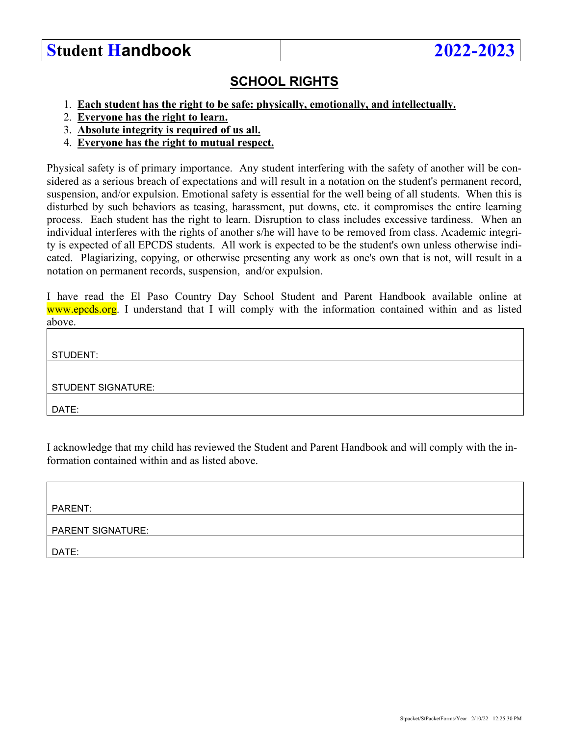### **Student Handbook 2022-2023**

#### **SCHOOL RIGHTS**

- 1. **Each student has the right to be safe: physically, emotionally, and intellectually.**
- 2. **Everyone has the right to learn.**
- 3. **Absolute integrity is required of us all.**
- 4. **Everyone has the right to mutual respect.**

Physical safety is of primary importance. Any student interfering with the safety of another will be considered as a serious breach of expectations and will result in a notation on the student's permanent record, suspension, and/or expulsion. Emotional safety is essential for the well being of all students. When this is disturbed by such behaviors as teasing, harassment, put downs, etc. it compromises the entire learning process. Each student has the right to learn. Disruption to class includes excessive tardiness. When an individual interferes with the rights of another s/he will have to be removed from class. Academic integrity is expected of all EPCDS students. All work is expected to be the student's own unless otherwise indicated. Plagiarizing, copying, or otherwise presenting any work as one's own that is not, will result in a notation on permanent records, suspension, and/or expulsion.

I have read the El Paso Country Day School Student and Parent Handbook available online at www.epcds.org. I understand that I will comply with the information contained within and as listed above.

STUDENT:

STUDENT SIGNATURE:

DATE:

I acknowledge that my child has reviewed the Student and Parent Handbook and will comply with the information contained within and as listed above.

PARENT:

PARENT SIGNATURE:

DATE: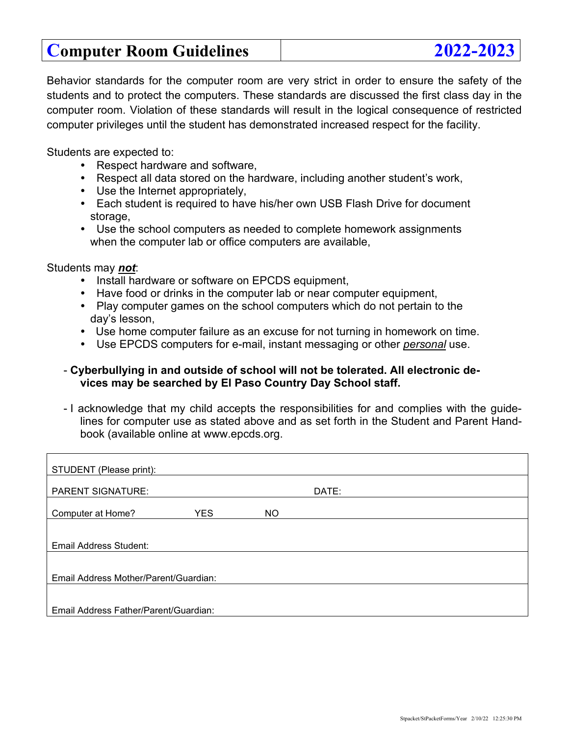## **Computer Room Guidelines 2022-2023**

Behavior standards for the computer room are very strict in order to ensure the safety of the students and to protect the computers. These standards are discussed the first class day in the computer room. Violation of these standards will result in the logical consequence of restricted computer privileges until the student has demonstrated increased respect for the facility.

Students are expected to:

- Respect hardware and software,
- Respect all data stored on the hardware, including another student's work,
- Use the Internet appropriately,
- Each student is required to have his/her own USB Flash Drive for document storage,
- Use the school computers as needed to complete homework assignments when the computer lab or office computers are available,

Students may *not*:

- Install hardware or software on EPCDS equipment,
- Have food or drinks in the computer lab or near computer equipment,
- Play computer games on the school computers which do not pertain to the day's lesson,
- Use home computer failure as an excuse for not turning in homework on time.
- Use EPCDS computers for e-mail, instant messaging or other *personal* use.

#### - **Cyberbullying in and outside of school will not be tolerated. All electronic devices may be searched by El Paso Country Day School staff.**

- I acknowledge that my child accepts the responsibilities for and complies with the guidelines for computer use as stated above and as set forth in the Student and Parent Handbook (available online at www.epcds.org.

| STUDENT (Please print):               |                                       |     |       |  |  |  |  |  |  |
|---------------------------------------|---------------------------------------|-----|-------|--|--|--|--|--|--|
| <b>PARENT SIGNATURE:</b>              |                                       |     | DATE: |  |  |  |  |  |  |
| Computer at Home?                     | <b>YES</b>                            | NO. |       |  |  |  |  |  |  |
|                                       |                                       |     |       |  |  |  |  |  |  |
| Email Address Student:                |                                       |     |       |  |  |  |  |  |  |
|                                       |                                       |     |       |  |  |  |  |  |  |
| Email Address Mother/Parent/Guardian: |                                       |     |       |  |  |  |  |  |  |
|                                       |                                       |     |       |  |  |  |  |  |  |
|                                       | Email Address Father/Parent/Guardian: |     |       |  |  |  |  |  |  |